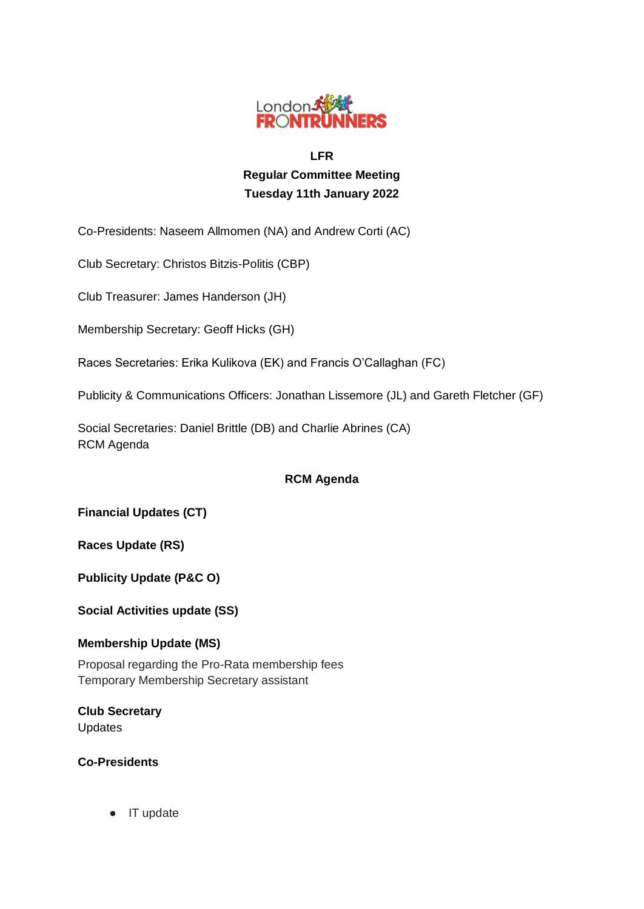

# **LFR Regular Committee Meeting Tuesday 11th January 2022**

Co-Presidents: Naseem Allmomen (NA) and Andrew Corti (AC)

Club Secretary: Christos Bitzis-Politis (CBP)

Club Treasurer: James Handerson (JH)

Membership Secretary: Geoff Hicks (GH)

Races Secretaries: Erika Kulikova (EK) and Francis O'Callaghan (FC)

Publicity & Communications Officers: Jonathan Lissemore (JL) and Gareth Fletcher (GF)

Social Secretaries: Daniel Brittle (DB) and Charlie Abrines (CA) RCM Agenda

# **RCM Agenda**

**Financial Updates (CT)**

**Races Update (RS)**

**Publicity Update (P&C O)**

**Social Activities update (SS)**

### **Membership Update (MS)**

Proposal regarding the Pro-Rata membership fees Temporary Membership Secretary assistant

**Club Secretary** Updates

**Co-Presidents**

● IT update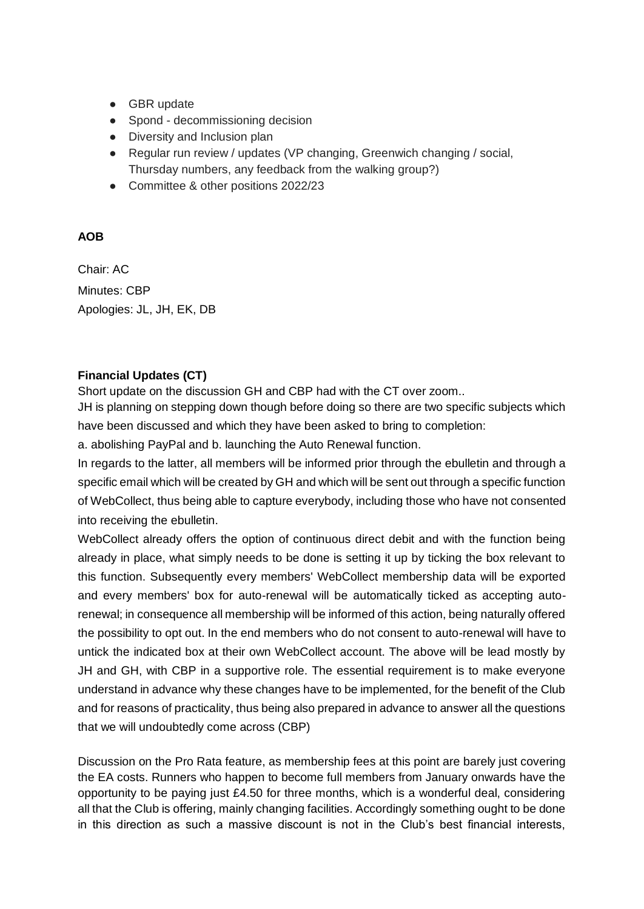- GBR update
- Spond decommissioning decision
- Diversity and Inclusion plan
- Regular run review / updates (VP changing, Greenwich changing / social, Thursday numbers, any feedback from the walking group?)
- Committee & other positions 2022/23

# **AOB**

Chair: AC Minutes: CBP Apologies: JL, JH, EK, DB

### **Financial Updates (CT)**

Short update on the discussion GH and CBP had with the CT over zoom..

JH is planning on stepping down though before doing so there are two specific subjects which have been discussed and which they have been asked to bring to completion:

a. abolishing PayPal and b. launching the Auto Renewal function.

In regards to the latter, all members will be informed prior through the ebulletin and through a specific email which will be created by GH and which will be sent out through a specific function of WebCollect, thus being able to capture everybody, including those who have not consented into receiving the ebulletin.

WebCollect already offers the option of continuous direct debit and with the function being already in place, what simply needs to be done is setting it up by ticking the box relevant to this function. Subsequently every members' WebCollect membership data will be exported and every members' box for auto-renewal will be automatically ticked as accepting autorenewal; in consequence all membership will be informed of this action, being naturally offered the possibility to opt out. In the end members who do not consent to auto-renewal will have to untick the indicated box at their own WebCollect account. The above will be lead mostly by JH and GH, with CBP in a supportive role. The essential requirement is to make everyone understand in advance why these changes have to be implemented, for the benefit of the Club and for reasons of practicality, thus being also prepared in advance to answer all the questions that we will undoubtedly come across (CBP)

Discussion on the Pro Rata feature, as membership fees at this point are barely just covering the EA costs. Runners who happen to become full members from January onwards have the opportunity to be paying just £4.50 for three months, which is a wonderful deal, considering all that the Club is offering, mainly changing facilities. Accordingly something ought to be done in this direction as such a massive discount is not in the Club's best financial interests,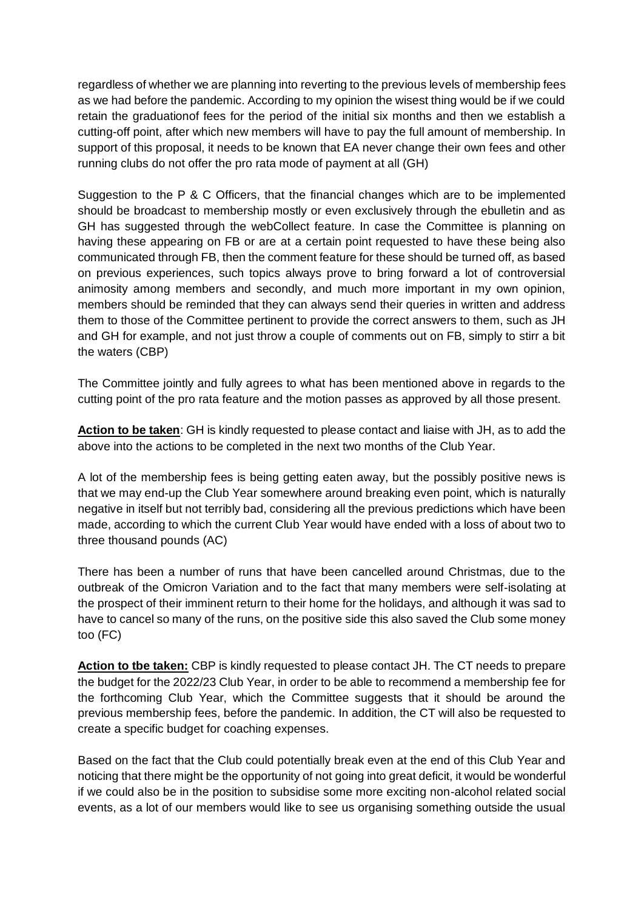regardless of whether we are planning into reverting to the previous levels of membership fees as we had before the pandemic. According to my opinion the wisest thing would be if we could retain the graduationof fees for the period of the initial six months and then we establish a cutting-off point, after which new members will have to pay the full amount of membership. In support of this proposal, it needs to be known that EA never change their own fees and other running clubs do not offer the pro rata mode of payment at all (GH)

Suggestion to the P & C Officers, that the financial changes which are to be implemented should be broadcast to membership mostly or even exclusively through the ebulletin and as GH has suggested through the webCollect feature. In case the Committee is planning on having these appearing on FB or are at a certain point requested to have these being also communicated through FB, then the comment feature for these should be turned off, as based on previous experiences, such topics always prove to bring forward a lot of controversial animosity among members and secondly, and much more important in my own opinion, members should be reminded that they can always send their queries in written and address them to those of the Committee pertinent to provide the correct answers to them, such as JH and GH for example, and not just throw a couple of comments out on FB, simply to stirr a bit the waters (CBP)

The Committee jointly and fully agrees to what has been mentioned above in regards to the cutting point of the pro rata feature and the motion passes as approved by all those present.

**Action to be taken**: GH is kindly requested to please contact and liaise with JH, as to add the above into the actions to be completed in the next two months of the Club Year.

A lot of the membership fees is being getting eaten away, but the possibly positive news is that we may end-up the Club Year somewhere around breaking even point, which is naturally negative in itself but not terribly bad, considering all the previous predictions which have been made, according to which the current Club Year would have ended with a loss of about two to three thousand pounds (AC)

There has been a number of runs that have been cancelled around Christmas, due to the outbreak of the Omicron Variation and to the fact that many members were self-isolating at the prospect of their imminent return to their home for the holidays, and although it was sad to have to cancel so many of the runs, on the positive side this also saved the Club some money too (FC)

**Action to tbe taken:** CBP is kindly requested to please contact JH. The CT needs to prepare the budget for the 2022/23 Club Year, in order to be able to recommend a membership fee for the forthcoming Club Year, which the Committee suggests that it should be around the previous membership fees, before the pandemic. In addition, the CT will also be requested to create a specific budget for coaching expenses.

Based on the fact that the Club could potentially break even at the end of this Club Year and noticing that there might be the opportunity of not going into great deficit, it would be wonderful if we could also be in the position to subsidise some more exciting non-alcohol related social events, as a lot of our members would like to see us organising something outside the usual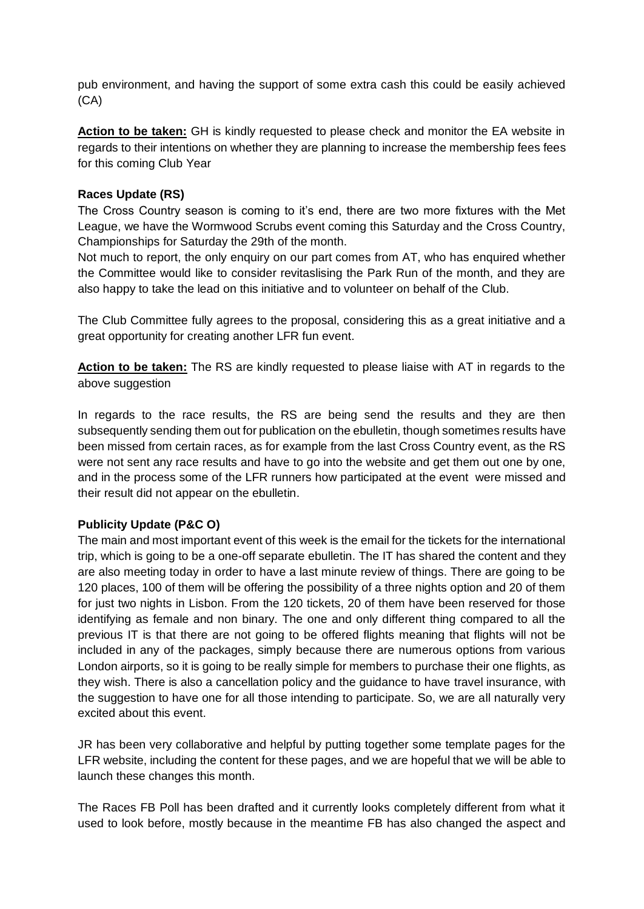pub environment, and having the support of some extra cash this could be easily achieved (CA)

**Action to be taken:** GH is kindly requested to please check and monitor the EA website in regards to their intentions on whether they are planning to increase the membership fees fees for this coming Club Year

# **Races Update (RS)**

The Cross Country season is coming to it's end, there are two more fixtures with the Met League, we have the Wormwood Scrubs event coming this Saturday and the Cross Country, Championships for Saturday the 29th of the month.

Not much to report, the only enquiry on our part comes from AT, who has enquired whether the Committee would like to consider revitaslising the Park Run of the month, and they are also happy to take the lead on this initiative and to volunteer on behalf of the Club.

The Club Committee fully agrees to the proposal, considering this as a great initiative and a great opportunity for creating another LFR fun event.

**Action to be taken:** The RS are kindly requested to please liaise with AT in regards to the above suggestion

In regards to the race results, the RS are being send the results and they are then subsequently sending them out for publication on the ebulletin, though sometimes results have been missed from certain races, as for example from the last Cross Country event, as the RS were not sent any race results and have to go into the website and get them out one by one, and in the process some of the LFR runners how participated at the event were missed and their result did not appear on the ebulletin.

# **Publicity Update (P&C O)**

The main and most important event of this week is the email for the tickets for the international trip, which is going to be a one-off separate ebulletin. The IT has shared the content and they are also meeting today in order to have a last minute review of things. There are going to be 120 places, 100 of them will be offering the possibility of a three nights option and 20 of them for just two nights in Lisbon. From the 120 tickets, 20 of them have been reserved for those identifying as female and non binary. The one and only different thing compared to all the previous IT is that there are not going to be offered flights meaning that flights will not be included in any of the packages, simply because there are numerous options from various London airports, so it is going to be really simple for members to purchase their one flights, as they wish. There is also a cancellation policy and the guidance to have travel insurance, with the suggestion to have one for all those intending to participate. So, we are all naturally very excited about this event.

JR has been very collaborative and helpful by putting together some template pages for the LFR website, including the content for these pages, and we are hopeful that we will be able to launch these changes this month.

The Races FB Poll has been drafted and it currently looks completely different from what it used to look before, mostly because in the meantime FB has also changed the aspect and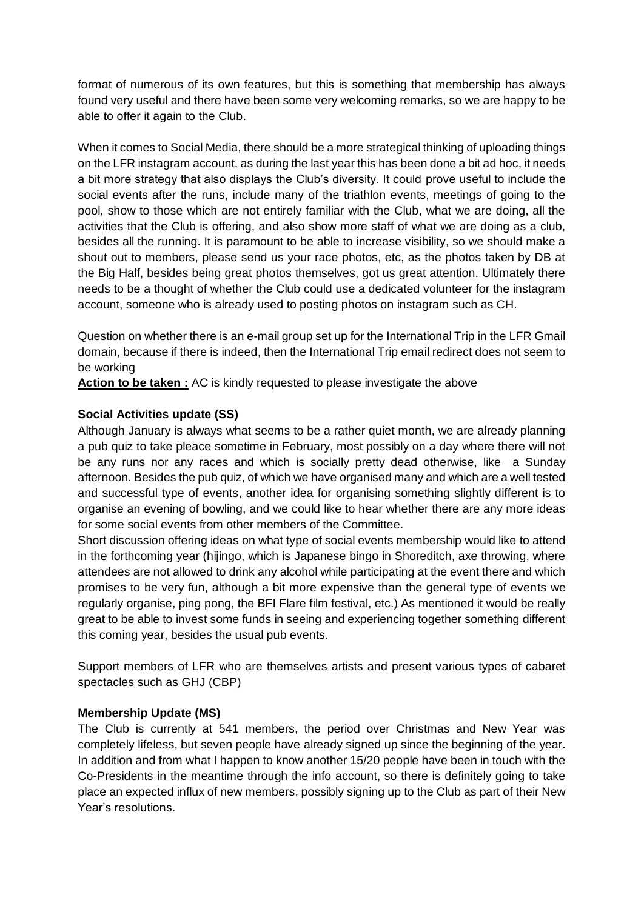format of numerous of its own features, but this is something that membership has always found very useful and there have been some very welcoming remarks, so we are happy to be able to offer it again to the Club.

When it comes to Social Media, there should be a more strategical thinking of uploading things on the LFR instagram account, as during the last year this has been done a bit ad hoc, it needs a bit more strategy that also displays the Club's diversity. It could prove useful to include the social events after the runs, include many of the triathlon events, meetings of going to the pool, show to those which are not entirely familiar with the Club, what we are doing, all the activities that the Club is offering, and also show more staff of what we are doing as a club, besides all the running. It is paramount to be able to increase visibility, so we should make a shout out to members, please send us your race photos, etc, as the photos taken by DB at the Big Half, besides being great photos themselves, got us great attention. Ultimately there needs to be a thought of whether the Club could use a dedicated volunteer for the instagram account, someone who is already used to posting photos on instagram such as CH.

Question on whether there is an e-mail group set up for the International Trip in the LFR Gmail domain, because if there is indeed, then the International Trip email redirect does not seem to be working

**Action to be taken :** AC is kindly requested to please investigate the above

# **Social Activities update (SS)**

Although January is always what seems to be a rather quiet month, we are already planning a pub quiz to take pleace sometime in February, most possibly on a day where there will not be any runs nor any races and which is socially pretty dead otherwise, like a Sunday afternoon. Besides the pub quiz, of which we have organised many and which are a well tested and successful type of events, another idea for organising something slightly different is to organise an evening of bowling, and we could like to hear whether there are any more ideas for some social events from other members of the Committee.

Short discussion offering ideas on what type of social events membership would like to attend in the forthcoming year (hijingo, which is Japanese bingo in Shoreditch, axe throwing, where attendees are not allowed to drink any alcohol while participating at the event there and which promises to be very fun, although a bit more expensive than the general type of events we regularly organise, ping pong, the BFI Flare film festival, etc.) As mentioned it would be really great to be able to invest some funds in seeing and experiencing together something different this coming year, besides the usual pub events.

Support members of LFR who are themselves artists and present various types of cabaret spectacles such as GHJ (CBP)

### **Membership Update (MS)**

The Club is currently at 541 members, the period over Christmas and New Year was completely lifeless, but seven people have already signed up since the beginning of the year. In addition and from what I happen to know another 15/20 people have been in touch with the Co-Presidents in the meantime through the info account, so there is definitely going to take place an expected influx of new members, possibly signing up to the Club as part of their New Year's resolutions.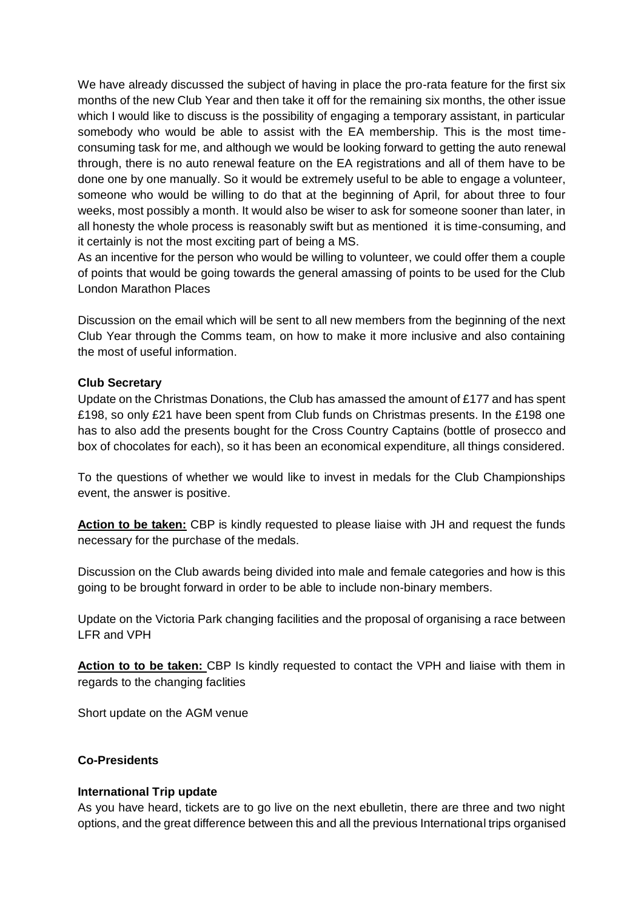We have already discussed the subject of having in place the pro-rata feature for the first six months of the new Club Year and then take it off for the remaining six months, the other issue which I would like to discuss is the possibility of engaging a temporary assistant, in particular somebody who would be able to assist with the EA membership. This is the most timeconsuming task for me, and although we would be looking forward to getting the auto renewal through, there is no auto renewal feature on the EA registrations and all of them have to be done one by one manually. So it would be extremely useful to be able to engage a volunteer, someone who would be willing to do that at the beginning of April, for about three to four weeks, most possibly a month. It would also be wiser to ask for someone sooner than later, in all honesty the whole process is reasonably swift but as mentioned it is time-consuming, and it certainly is not the most exciting part of being a MS.

As an incentive for the person who would be willing to volunteer, we could offer them a couple of points that would be going towards the general amassing of points to be used for the Club London Marathon Places

Discussion on the email which will be sent to all new members from the beginning of the next Club Year through the Comms team, on how to make it more inclusive and also containing the most of useful information.

### **Club Secretary**

Update on the Christmas Donations, the Club has amassed the amount of £177 and has spent £198, so only £21 have been spent from Club funds on Christmas presents. In the £198 one has to also add the presents bought for the Cross Country Captains (bottle of prosecco and box of chocolates for each), so it has been an economical expenditure, all things considered.

To the questions of whether we would like to invest in medals for the Club Championships event, the answer is positive.

**Action to be taken:** CBP is kindly requested to please liaise with JH and request the funds necessary for the purchase of the medals.

Discussion on the Club awards being divided into male and female categories and how is this going to be brought forward in order to be able to include non-binary members.

Update on the Victoria Park changing facilities and the proposal of organising a race between LFR and VPH

Action to to be taken: CBP Is kindly requested to contact the VPH and liaise with them in regards to the changing faclities

Short update on the AGM venue

### **Co-Presidents**

#### **International Trip update**

As you have heard, tickets are to go live on the next ebulletin, there are three and two night options, and the great difference between this and all the previous International trips organised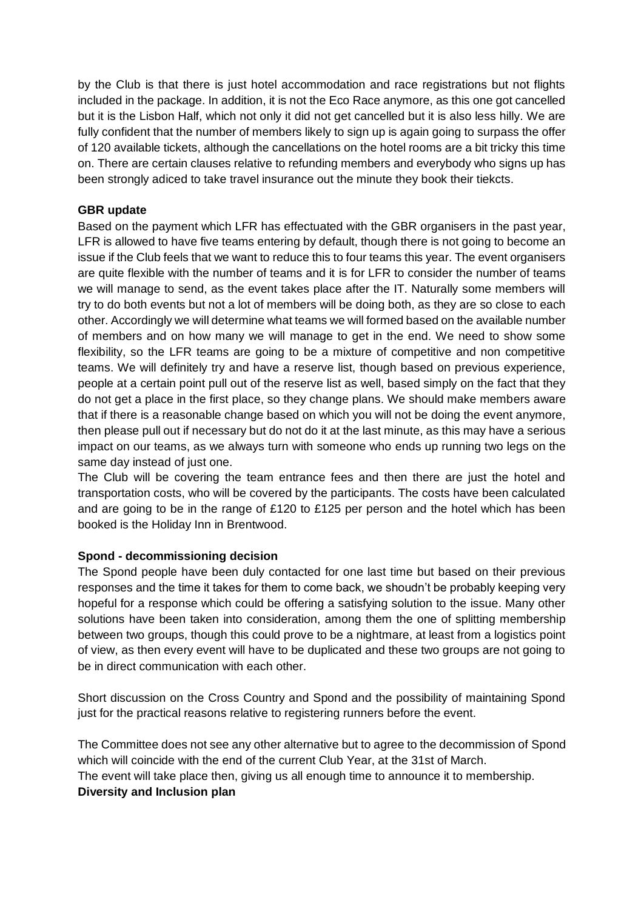by the Club is that there is just hotel accommodation and race registrations but not flights included in the package. In addition, it is not the Eco Race anymore, as this one got cancelled but it is the Lisbon Half, which not only it did not get cancelled but it is also less hilly. We are fully confident that the number of members likely to sign up is again going to surpass the offer of 120 available tickets, although the cancellations on the hotel rooms are a bit tricky this time on. There are certain clauses relative to refunding members and everybody who signs up has been strongly adiced to take travel insurance out the minute they book their tiekcts.

# **GBR update**

Based on the payment which LFR has effectuated with the GBR organisers in the past year, LFR is allowed to have five teams entering by default, though there is not going to become an issue if the Club feels that we want to reduce this to four teams this year. The event organisers are quite flexible with the number of teams and it is for LFR to consider the number of teams we will manage to send, as the event takes place after the IT. Naturally some members will try to do both events but not a lot of members will be doing both, as they are so close to each other. Accordingly we will determine what teams we will formed based on the available number of members and on how many we will manage to get in the end. We need to show some flexibility, so the LFR teams are going to be a mixture of competitive and non competitive teams. We will definitely try and have a reserve list, though based on previous experience, people at a certain point pull out of the reserve list as well, based simply on the fact that they do not get a place in the first place, so they change plans. We should make members aware that if there is a reasonable change based on which you will not be doing the event anymore, then please pull out if necessary but do not do it at the last minute, as this may have a serious impact on our teams, as we always turn with someone who ends up running two legs on the same day instead of just one.

The Club will be covering the team entrance fees and then there are just the hotel and transportation costs, who will be covered by the participants. The costs have been calculated and are going to be in the range of £120 to £125 per person and the hotel which has been booked is the Holiday Inn in Brentwood.

### **Spond - decommissioning decision**

The Spond people have been duly contacted for one last time but based on their previous responses and the time it takes for them to come back, we shoudn't be probably keeping very hopeful for a response which could be offering a satisfying solution to the issue. Many other solutions have been taken into consideration, among them the one of splitting membership between two groups, though this could prove to be a nightmare, at least from a logistics point of view, as then every event will have to be duplicated and these two groups are not going to be in direct communication with each other.

Short discussion on the Cross Country and Spond and the possibility of maintaining Spond just for the practical reasons relative to registering runners before the event.

The Committee does not see any other alternative but to agree to the decommission of Spond which will coincide with the end of the current Club Year, at the 31st of March.

The event will take place then, giving us all enough time to announce it to membership. **Diversity and Inclusion plan**